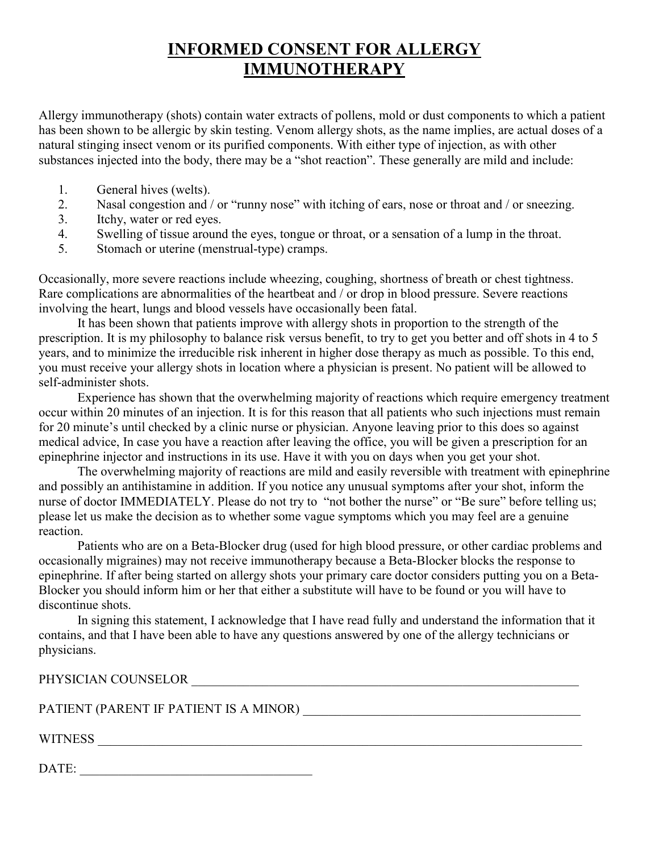## **INFORMED CONSENT FOR ALLERGY IMMUNOTHERAPY**

Allergy immunotherapy (shots) contain water extracts of pollens, mold or dust components to which a patient has been shown to be allergic by skin testing. Venom allergy shots, as the name implies, are actual doses of a natural stinging insect venom or its purified components. With either type of injection, as with other substances injected into the body, there may be a "shot reaction". These generally are mild and include:

- 1. General hives (welts).<br>2. Nasal congestion and /
- Nasal congestion and / or "runny nose" with itching of ears, nose or throat and / or sneezing.
- 3. Itchy, water or red eyes.
- 4. Swelling of tissue around the eyes, tongue or throat, or a sensation of a lump in the throat.
- 5. Stomach or uterine (menstrual-type) cramps.

Occasionally, more severe reactions include wheezing, coughing, shortness of breath or chest tightness. Rare complications are abnormalities of the heartbeat and / or drop in blood pressure. Severe reactions involving the heart, lungs and blood vessels have occasionally been fatal.

 It has been shown that patients improve with allergy shots in proportion to the strength of the prescription. It is my philosophy to balance risk versus benefit, to try to get you better and off shots in 4 to 5 years, and to minimize the irreducible risk inherent in higher dose therapy as much as possible. To this end, you must receive your allergy shots in location where a physician is present. No patient will be allowed to self-administer shots.

 Experience has shown that the overwhelming majority of reactions which require emergency treatment occur within 20 minutes of an injection. It is for this reason that all patients who such injections must remain for 20 minute's until checked by a clinic nurse or physician. Anyone leaving prior to this does so against medical advice, In case you have a reaction after leaving the office, you will be given a prescription for an epinephrine injector and instructions in its use. Have it with you on days when you get your shot.

 The overwhelming majority of reactions are mild and easily reversible with treatment with epinephrine and possibly an antihistamine in addition. If you notice any unusual symptoms after your shot, inform the nurse of doctor IMMEDIATELY. Please do not try to "not bother the nurse" or "Be sure" before telling us; please let us make the decision as to whether some vague symptoms which you may feel are a genuine reaction.

 Patients who are on a Beta-Blocker drug (used for high blood pressure, or other cardiac problems and occasionally migraines) may not receive immunotherapy because a Beta-Blocker blocks the response to epinephrine. If after being started on allergy shots your primary care doctor considers putting you on a Beta-Blocker you should inform him or her that either a substitute will have to be found or you will have to discontinue shots.

 In signing this statement, I acknowledge that I have read fully and understand the information that it contains, and that I have been able to have any questions answered by one of the allergy technicians or physicians.

## PHYSICIAN COUNSELOR **Example 20**

PATIENT (PARENT IF PATIENT IS A MINOR) **EXECUTE A** 

WITNESS \_\_\_\_\_\_\_\_\_\_\_\_\_\_\_\_\_\_\_\_\_\_\_\_\_\_\_\_\_\_\_\_\_\_\_\_\_\_\_\_\_\_\_\_\_\_\_\_\_\_\_\_\_\_\_\_\_\_\_\_\_\_\_\_\_\_\_\_\_\_\_\_\_\_\_

DATE: \_\_\_\_\_\_\_\_\_\_\_\_\_\_\_\_\_\_\_\_\_\_\_\_\_\_\_\_\_\_\_\_\_\_\_\_